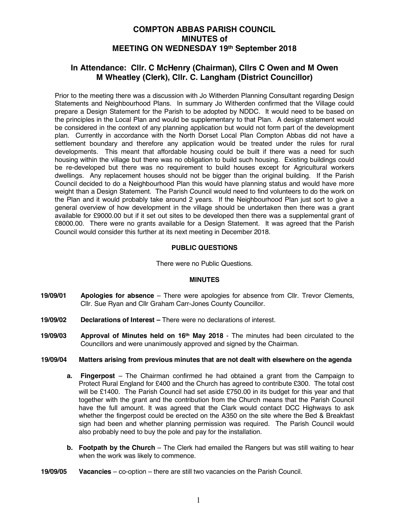# **COMPTON ABBAS PARISH COUNCIL MINUTES of MEETING ON WEDNESDAY 19th September 2018**

## **In Attendance: Cllr. C McHenry (Chairman), Cllrs C Owen and M Owen M Wheatley (Clerk), Cllr. C. Langham (District Councillor)**

Prior to the meeting there was a discussion with Jo Witherden Planning Consultant regarding Design Statements and Neighbourhood Plans. In summary Jo Witherden confirmed that the Village could prepare a Design Statement for the Parish to be adopted by NDDC. It would need to be based on the principles in the Local Plan and would be supplementary to that Plan. A design statement would be considered in the context of any planning application but would not form part of the development plan. Currently in accordance with the North Dorset Local Plan Compton Abbas did not have a settlement boundary and therefore any application would be treated under the rules for rural developments. This meant that affordable housing could be built if there was a need for such housing within the village but there was no obligation to build such housing. Existing buildings could be re-developed but there was no requirement to build houses except for Agricultural workers dwellings. Any replacement houses should not be bigger than the original building. If the Parish Council decided to do a Neighbourhood Plan this would have planning status and would have more weight than a Design Statement. The Parish Council would need to find volunteers to do the work on the Plan and it would probably take around 2 years. If the Neighbourhood Plan just sort to give a general overview of how development in the village should be undertaken then there was a grant available for £9000.00 but if it set out sites to be developed then there was a supplemental grant of £8000.00. There were no grants available for a Design Statement. It was agreed that the Parish Council would consider this further at its next meeting in December 2018.

## **PUBLIC QUESTIONS**

There were no Public Questions.

#### **MINUTES**

- **19/09/01 Apologies for absence**  There were apologies for absence from Cllr. Trevor Clements, Cllr. Sue Ryan and Cllr Graham Carr-Jones County Councillor.
- **19/09/02 Declarations of Interest –** There were no declarations of interest.
- **19/09/03 Approval of Minutes held on 16th May 2018** The minutes had been circulated to the Councillors and were unanimously approved and signed by the Chairman.

## **19/09/04 Matters arising from previous minutes that are not dealt with elsewhere on the agenda**

- **a. Fingerpost**  The Chairman confirmed he had obtained a grant from the Campaign to Protect Rural England for £400 and the Church has agreed to contribute £300. The total cost will be £1400. The Parish Council had set aside £750.00 in its budget for this year and that together with the grant and the contribution from the Church means that the Parish Council have the full amount. It was agreed that the Clark would contact DCC Highways to ask whether the fingerpost could be erected on the A350 on the site where the Bed & Breakfast sign had been and whether planning permission was required. The Parish Council would also probably need to buy the pole and pay for the installation.
- **b. Footpath by the Church** The Clerk had emailed the Rangers but was still waiting to hear when the work was likely to commence.
- **19/09/05 Vacancies** co-option there are still two vacancies on the Parish Council.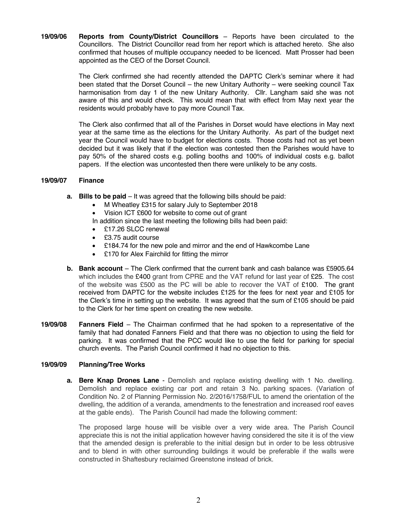**19/09/06 Reports from County/District Councillors** – Reports have been circulated to the Councillors. The District Councillor read from her report which is attached hereto. She also confirmed that houses of multiple occupancy needed to be licenced. Matt Prosser had been appointed as the CEO of the Dorset Council.

> The Clerk confirmed she had recently attended the DAPTC Clerk's seminar where it had been stated that the Dorset Council – the new Unitary Authority – were seeking council Tax harmonisation from day 1 of the new Unitary Authority. Cllr. Langham said she was not aware of this and would check. This would mean that with effect from May next year the residents would probably have to pay more Council Tax.

> The Clerk also confirmed that all of the Parishes in Dorset would have elections in May next year at the same time as the elections for the Unitary Authority. As part of the budget next year the Council would have to budget for elections costs. Those costs had not as yet been decided but it was likely that if the election was contested then the Parishes would have to pay 50% of the shared costs e.g. polling booths and 100% of individual costs e.g. ballot papers. If the election was uncontested then there were unlikely to be any costs.

## **19/09/07 Finance**

- **a. Bills to be paid** It was agreed that the following bills should be paid:
	- M Wheatley £315 for salary July to September 2018
	- Vision ICT £600 for website to come out of grant
	- In addition since the last meeting the following bills had been paid:
	- £17.26 SLCC renewal
	- £3.75 audit course
	- £184.74 for the new pole and mirror and the end of Hawkcombe Lane
	- £170 for Alex Fairchild for fitting the mirror
- **b. Bank account** The Clerk confirmed that the current bank and cash balance was £5905.64 which includes the £400 grant from CPRE and the VAT refund for last year of £25. The cost of the website was £500 as the PC will be able to recover the VAT of £100. The grant received from DAPTC for the website includes £125 for the fees for next year and £105 for the Clerk's time in setting up the website. It was agreed that the sum of £105 should be paid to the Clerk for her time spent on creating the new website.
- **19/09/08 Fanners Field** The Chairman confirmed that he had spoken to a representative of the family that had donated Fanners Field and that there was no objection to using the field for parking. It was confirmed that the PCC would like to use the field for parking for special church events. The Parish Council confirmed it had no objection to this.

#### **19/09/09 Planning/Tree Works**

**a. Bere Knap Drones Lane** - Demolish and replace existing dwelling with 1 No. dwelling. Demolish and replace existing car port and retain 3 No. parking spaces. (Variation of Condition No. 2 of Planning Permission No. 2/2016/1758/FUL to amend the orientation of the dwelling, the addition of a veranda, amendments to the fenestration and increased roof eaves at the gable ends). The Parish Council had made the following comment:

The proposed large house will be visible over a very wide area. The Parish Council appreciate this is not the initial application however having considered the site it is of the view that the amended design is preferable to the initial design but in order to be less obtrusive and to blend in with other surrounding buildings it would be preferable if the walls were constructed in Shaftesbury reclaimed Greenstone instead of brick.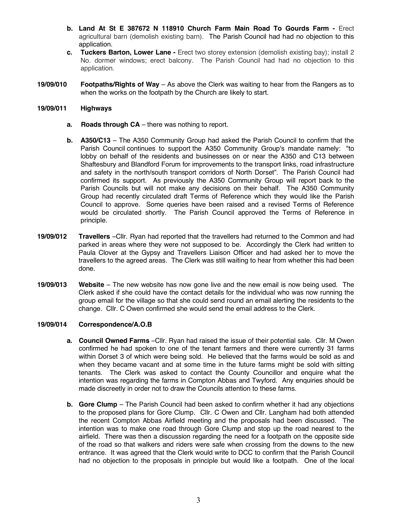- **b. Land At St E 387672 N 118910 Church Farm Main Road To Gourds Farm -** Erect agricultural barn (demolish existing barn). The Parish Council had had no objection to this application.
- **c. Tuckers Barton, Lower Lane -** Erect two storey extension (demolish existing bay); install 2 No. dormer windows; erect balcony. The Parish Council had had no objection to this application.
- **19/09/010 Footpaths/Rights of Way**  As above the Clerk was waiting to hear from the Rangers as to when the works on the footpath by the Church are likely to start.

### **19/09/011 Highways**

- **a. Roads through CA** there was nothing to report.
- **b. A350/C13** The A350 Community Group had asked the Parish Council to confirm that the Parish Council continues to support the A350 Community Group's mandate namely: "to lobby on behalf of the residents and businesses on or near the A350 and C13 between Shaftesbury and Blandford Forum for improvements to the transport links, road infrastructure and safety in the north/south transport corridors of North Dorset". The Parish Council had confirmed its support. As previously the A350 Community Group will report back to the Parish Councils but will not make any decisions on their behalf. The A350 Community Group had recently circulated draft Terms of Reference which they would like the Parish Council to approve. Some queries have been raised and a revised Terms of Reference would be circulated shortly. The Parish Council approved the Terms of Reference in principle.
- **19/09/012 Travellers** –Cllr. Ryan had reported that the travellers had returned to the Common and had parked in areas where they were not supposed to be. Accordingly the Clerk had written to Paula Clover at the Gypsy and Travellers Liaison Officer and had asked her to move the travellers to the agreed areas. The Clerk was still waiting to hear from whether this had been done.
- **19/09/013 Website**  The new website has now gone live and the new email is now being used. The Clerk asked if she could have the contact details for the individual who was now running the group email for the village so that she could send round an email alerting the residents to the change. Cllr. C Owen confirmed she would send the email address to the Clerk.

## **19/09/014 Correspondence/A.O.B**

- **a. Council Owned Farms** –Cllr. Ryan had raised the issue of their potential sale. Cllr. M Owen confirmed he had spoken to one of the tenant farmers and there were currently 31 farms within Dorset 3 of which were being sold. He believed that the farms would be sold as and when they became vacant and at some time in the future farms might be sold with sitting tenants. The Clerk was asked to contact the County Councillor and enquire what the intention was regarding the farms in Compton Abbas and Twyford. Any enquiries should be made discreetly in order not to draw the Councils attention to these farms.
- **b. Gore Clump** The Parish Council had been asked to confirm whether it had any objections to the proposed plans for Gore Clump. Cllr. C Owen and Cllr. Langham had both attended the recent Compton Abbas Airfield meeting and the proposals had been discussed. The intention was to make one road through Gore Clump and stop up the road nearest to the airfield. There was then a discussion regarding the need for a footpath on the opposite side of the road so that walkers and riders were safe when crossing from the downs to the new entrance. It was agreed that the Clerk would write to DCC to confirm that the Parish Council had no objection to the proposals in principle but would like a footpath. One of the local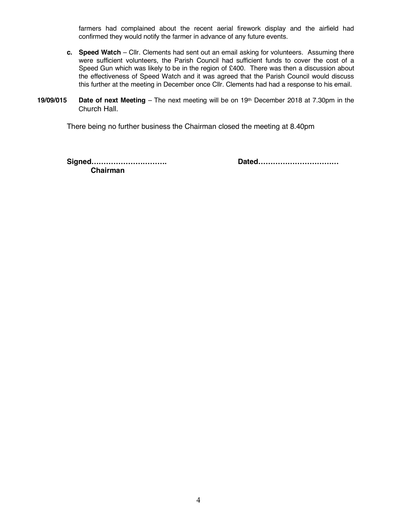farmers had complained about the recent aerial firework display and the airfield had confirmed they would notify the farmer in advance of any future events.

- **c. Speed Watch**  Cllr. Clements had sent out an email asking for volunteers. Assuming there were sufficient volunteers, the Parish Council had sufficient funds to cover the cost of a Speed Gun which was likely to be in the region of £400. There was then a discussion about the effectiveness of Speed Watch and it was agreed that the Parish Council would discuss this further at the meeting in December once Cllr. Clements had had a response to his email.
- **19/09/015 Date of next Meeting** The next meeting will be on 19th December 2018 at 7.30pm in the Church Hall.

There being no further business the Chairman closed the meeting at 8.40pm

**Signed…………………………. Dated…………………………… Chairman**